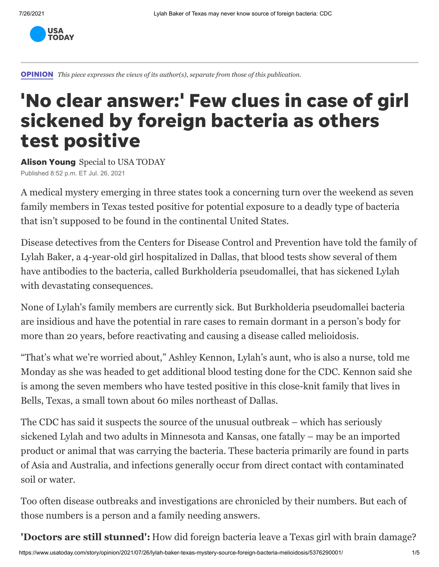

[OPINION](https://www.usatoday.com/opinion/) *This piece expresses the views of its author(s), separate from those of this publication.*

## 'No clear answer:' Few clues in case of girl sickened by foreign bacteria as others test positive

Alison Young Special to USA TODAY Published 8:52 p.m. ET Jul. 26, 2021

A medical mystery emerging in three states took a concerning turn over the weekend as seven family members in Texas tested positive for potential exposure to a deadly type of bacteria that isn't supposed to be found in the continental United States.

Disease detectives from the Centers for Disease Control and Prevention have told the family of [Lylah Baker](https://www.usatoday.com/story/opinion/2021/07/11/cdc-melioidosis-rare-bacteria-texas-minnesota-kansas/7918750002/), a 4-year-old girl hospitalized in Dallas, that blood tests show several of them have antibodies to the bacteria, called Burkholderia pseudomallei, that has sickened Lylah with devastating consequences.

None of Lylah's family members are currently sick. But Burkholderia pseudomallei bacteria are insidious and have the potential in rare cases to [remain dormant in a person's body](https://www.ncbi.nlm.nih.gov/pmc/articles/PMC6456913/) for more than 20 years, before reactivating and causing a disease called melioidosis.

"That's what we're worried about," Ashley Kennon, Lylah's aunt, who is also a nurse, told me Monday as she was headed to get additional blood testing done for the CDC. Kennon said she is among the seven members who have tested positive in this close-knit family that lives in Bells, Texas, a small town about 60 miles northeast of Dallas.

The CDC has said it suspects the source of the unusual outbreak – which has seriously [sickened Lylah and two adults in Minnesota and Kansas, one fatally – may be an imported](https://emergency.cdc.gov/han/2021/han00444.asp) product or animal that was carrying the bacteria. These bacteria primarily are found in parts of Asia and Australia, and infections generally occur from direct contact with contaminated soil or water.

Too often disease outbreaks and investigations are chronicled by their numbers. But each of those numbers is a person and a family needing answers.

**'Doctors are still stunned':** [How did foreign bacteria leave a Texas girl with brain damage?](https://www.usatoday.com/story/opinion/2021/07/11/cdc-melioidosis-rare-bacteria-texas-minnesota-kansas/7918750002/)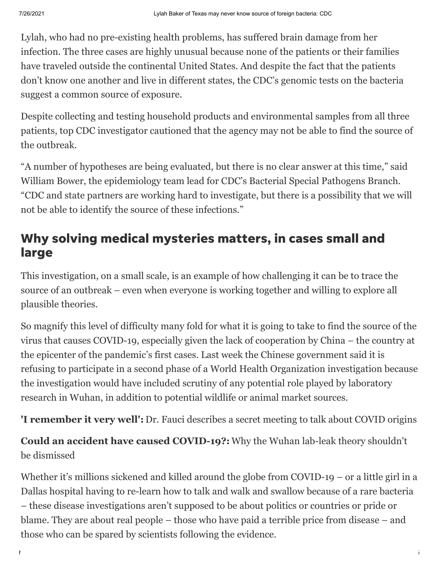Lylah, who had no pre-existing health problems, has suffered brain damage from her infection. The three cases are highly unusual because none of the patients or their families have traveled outside the continental United States. And despite the fact that the patients don't know one another and live in different states, the CDC's genomic tests on the bacteria suggest a common source of exposure.

Despite collecting and testing household products and environmental samples from all three patients, top CDC investigator cautioned that the agency may not be able to find the source of the outbreak.

"A number of hypotheses are being evaluated, but there is no clear answer at this time," said William Bower, the epidemiology team lead for CDC's Bacterial Special Pathogens Branch. "CDC and state partners are working hard to investigate, but there is a possibility that we will not be able to identify the source of these infections."

## Why solving medical mysteries matters, in cases small and large

This investigation, on a small scale, is an example of how challenging it can be to trace the source of an outbreak – even when everyone is working together and willing to explore all plausible theories.

So magnify this level of difficulty many fold for what it is going to take to find the source of the virus that causes COVID-19, especially given the lack of cooperation by China – the country at the epicenter of the pandemic's first cases. Last week the Chinese government said it is [refusing to participate](https://www.cnn.com/2021/07/22/china/china-who-second-origin-study-intl-hnk/index.html) in a second phase of a World Health Organization investigation because the investigation would have included scrutiny of any potential role played by laboratory research in Wuhan, in addition to potential wildlife or animal market sources.

**'I remember it very well':** [Dr. Fauci describes a secret meeting to talk about COVID origins](https://www.usatoday.com/story/opinion/2021/06/17/covid-19-fauci-lab-leaks-wuhan-china-origins/7737494002/)

**[Could an accident have caused COVID-19?:](https://www.usatoday.com/in-depth/opinion/2021/03/22/why-covid-lab-leak-theory-wuhan-shouldnt-dismissed-column/4765985001/)** Why the Wuhan lab-leak theory shouldn't be dismissed

Whether it's millions sickened and killed around the globe from COVID-19 – or a little girl in a Dallas hospital having to re-learn how to talk and walk and swallow because of a rare bacteria – these disease investigations aren't supposed to be about politics or countries or pride or blame. They are about real people – those who have paid a terrible price from disease – and those who can be spared by scientists following the evidence.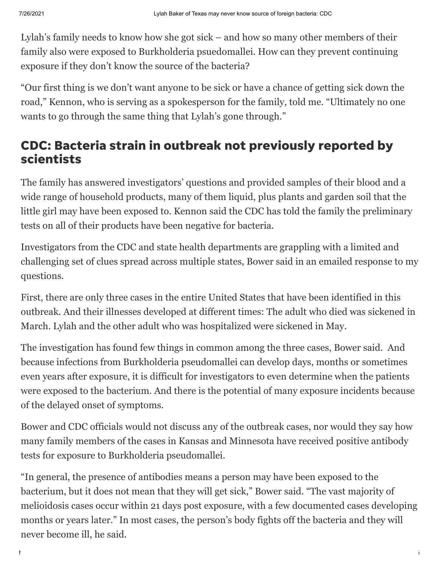Lylah's family needs to know how she got sick – and how so many other members of their family also were exposed to Burkholderia psuedomallei. How can they prevent continuing exposure if they don't know the source of the bacteria?

"Our first thing is we don't want anyone to be sick or have a chance of getting sick down the road," Kennon, who is serving as a spokesperson for the family, told me. "Ultimately no one wants to go through the same thing that Lylah's gone through."

## CDC: Bacteria strain in outbreak not previously reported by scientists

The family has answered investigators' questions and provided samples of their blood and a wide range of household products, many of them liquid, plus plants and garden soil that the little girl may have been exposed to. Kennon said the CDC has told the family the preliminary tests on all of their products have been negative for bacteria.

Investigators from the CDC and state health departments are grappling with a limited and challenging set of clues spread across multiple states, Bower said in an emailed response to my questions.

First, there are only three cases in the entire United States that have been identified in this outbreak. And their illnesses developed at different times: The adult who died was sickened in March. Lylah and the other adult who was hospitalized were sickened in May.

The investigation has found few things in common among the three cases, Bower said. And because infections from Burkholderia pseudomallei can develop days, months or sometimes even years after exposure, it is difficult for investigators to even determine when the patients were exposed to the bacterium. And there is the potential of many exposure incidents because of the delayed onset of symptoms.

Bower and CDC officials would not discuss any of the outbreak cases, nor would they say how many family members of the cases in Kansas and Minnesota have received positive antibody tests for exposure to Burkholderia pseudomallei.

"In general, the presence of antibodies means a person may have been exposed to the bacterium, but it does not mean that they will get sick," Bower said. "The vast majority of melioidosis cases occur within 21 days post exposure, with a few documented cases developing months or years later." In most cases, the person's body fights off the bacteria and they will never become ill, he said.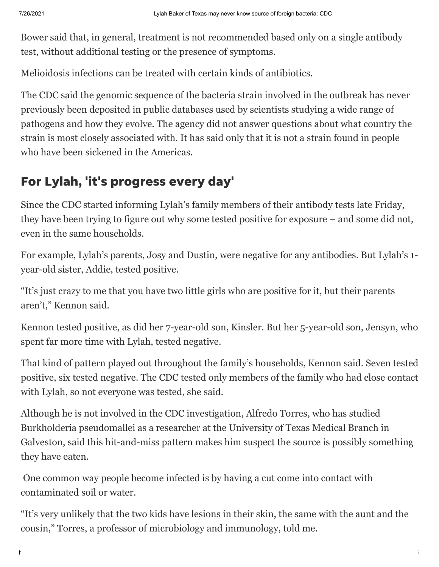Bower said that, in general, treatment is not recommended based only on a single antibody test, without additional testing or the presence of symptoms.

Melioidosis infections [can be treated](https://www.cdc.gov/melioidosis/treatment/index.html) with certain kinds of antibiotics.

The CDC said the genomic sequence of the bacteria strain involved in the outbreak has never previously been deposited in public databases used by scientists studying a wide range of pathogens and how they evolve. The agency did not answer questions about what country the strain is most closely associated with. It has said only that it is not a strain found in people who have been sickened in the Americas.

## For Lylah, 'it's progress every day'

Since the CDC started informing Lylah's family members of their antibody tests late Friday, they have been trying to figure out why some tested positive for exposure – and some did not, even in the same households.

For example, Lylah's parents, Josy and Dustin, were negative for any antibodies. But Lylah's 1 year-old sister, Addie, tested positive.

"It's just crazy to me that you have two little girls who are positive for it, but their parents aren't," Kennon said.

Kennon tested positive, as did her 7-year-old son, Kinsler. But her 5-year-old son, Jensyn, who spent far more time with Lylah, tested negative.

That kind of pattern played out throughout the family's households, Kennon said. Seven tested positive, six tested negative. The CDC tested only members of the family who had close contact with Lylah, so not everyone was tested, she said.

Although he is not involved in the CDC investigation, Alfredo Torres, who has studied Burkholderia pseudomallei as a researcher at the University of Texas Medical Branch in Galveston, said this hit-and-miss pattern makes him suspect the source is possibly something they have eaten.

One common way people become infected is by having a cut come into contact with contaminated soil or water.

"It's very unlikely that the two kids have lesions in their skin, the same with the aunt and the cousin," Torres, a professor of microbiology and immunology, told me.